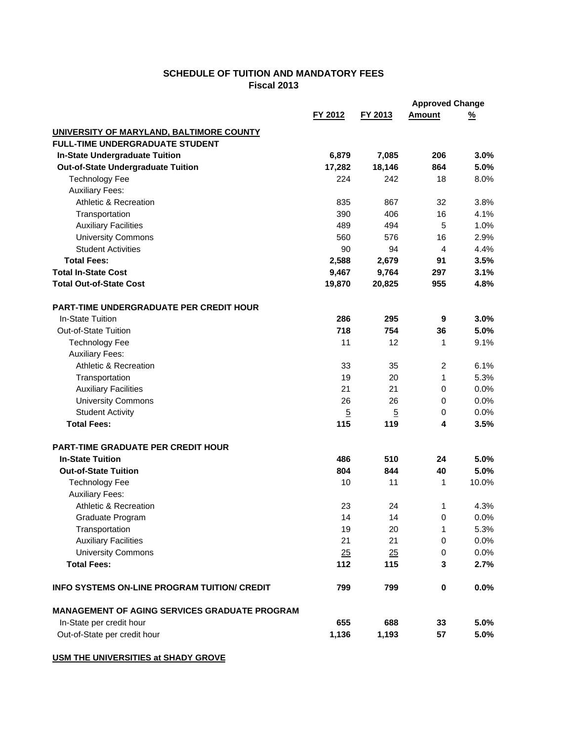## **SCHEDULE OF TUITION AND MANDATORY FEES Fiscal 2013**

|                                                      |                |                | <b>Approved Change</b> |          |
|------------------------------------------------------|----------------|----------------|------------------------|----------|
|                                                      | FY 2012        | FY 2013        | <b>Amount</b>          | <u>%</u> |
| UNIVERSITY OF MARYLAND, BALTIMORE COUNTY             |                |                |                        |          |
| <b>FULL-TIME UNDERGRADUATE STUDENT</b>               |                |                |                        |          |
| <b>In-State Undergraduate Tuition</b>                | 6,879          | 7,085          | 206                    | 3.0%     |
| <b>Out-of-State Undergraduate Tuition</b>            | 17,282         | 18,146         | 864                    | 5.0%     |
| <b>Technology Fee</b>                                | 224            | 242            | 18                     | 8.0%     |
| <b>Auxiliary Fees:</b>                               |                |                |                        |          |
| <b>Athletic &amp; Recreation</b>                     | 835            | 867            | 32                     | 3.8%     |
| Transportation                                       | 390            | 406            | 16                     | 4.1%     |
| <b>Auxiliary Facilities</b>                          | 489            | 494            | 5                      | 1.0%     |
| <b>University Commons</b>                            | 560            | 576            | 16                     | 2.9%     |
| <b>Student Activities</b>                            | 90             | 94             | 4                      | 4.4%     |
| <b>Total Fees:</b>                                   | 2,588          | 2,679          | 91                     | 3.5%     |
| <b>Total In-State Cost</b>                           | 9,467          | 9,764          | 297                    | 3.1%     |
| <b>Total Out-of-State Cost</b>                       | 19,870         | 20,825         | 955                    | 4.8%     |
| PART-TIME UNDERGRADUATE PER CREDIT HOUR              |                |                |                        |          |
| In-State Tuition                                     | 286            | 295            | 9                      | 3.0%     |
| Out-of-State Tuition                                 | 718            | 754            | 36                     | 5.0%     |
| <b>Technology Fee</b>                                | 11             | 12             | 1                      | 9.1%     |
| <b>Auxiliary Fees:</b>                               |                |                |                        |          |
| <b>Athletic &amp; Recreation</b>                     | 33             | 35             | $\overline{c}$         | 6.1%     |
| Transportation                                       | 19             | 20             | 1                      | 5.3%     |
| <b>Auxiliary Facilities</b>                          | 21             | 21             | 0                      | 0.0%     |
| <b>University Commons</b>                            | 26             | 26             | 0                      | 0.0%     |
| <b>Student Activity</b>                              | $\overline{5}$ | $\overline{5}$ | 0                      | 0.0%     |
| <b>Total Fees:</b>                                   | 115            | 119            | 4                      | 3.5%     |
| PART-TIME GRADUATE PER CREDIT HOUR                   |                |                |                        |          |
| <b>In-State Tuition</b>                              | 486            | 510            | 24                     | 5.0%     |
| <b>Out-of-State Tuition</b>                          | 804            | 844            | 40                     | 5.0%     |
| <b>Technology Fee</b>                                | 10             | 11             | 1                      | 10.0%    |
| <b>Auxiliary Fees:</b>                               |                |                |                        |          |
| <b>Athletic &amp; Recreation</b>                     | 23             | 24             | 1                      | 4.3%     |
| Graduate Program                                     | 14             | 14             | $\pmb{0}$              | 0.0%     |
| Transportation                                       | 19             | 20             | 1                      | 5.3%     |
| <b>Auxiliary Facilities</b>                          | 21             | 21             | 0                      | 0.0%     |
| <b>University Commons</b>                            | 25             | 25             | 0                      | 0.0%     |
| <b>Total Fees:</b>                                   | 112            | 115            | 3                      | 2.7%     |
| <b>INFO SYSTEMS ON-LINE PROGRAM TUITION/ CREDIT</b>  | 799            | 799            | $\bf{0}$               | 0.0%     |
| <b>MANAGEMENT OF AGING SERVICES GRADUATE PROGRAM</b> |                |                |                        |          |
| In-State per credit hour                             | 655            | 688            | 33                     | 5.0%     |
| Out-of-State per credit hour                         | 1,136          | 1,193          | 57                     | 5.0%     |

**USM THE UNIVERSITIES at SHADY GROVE**